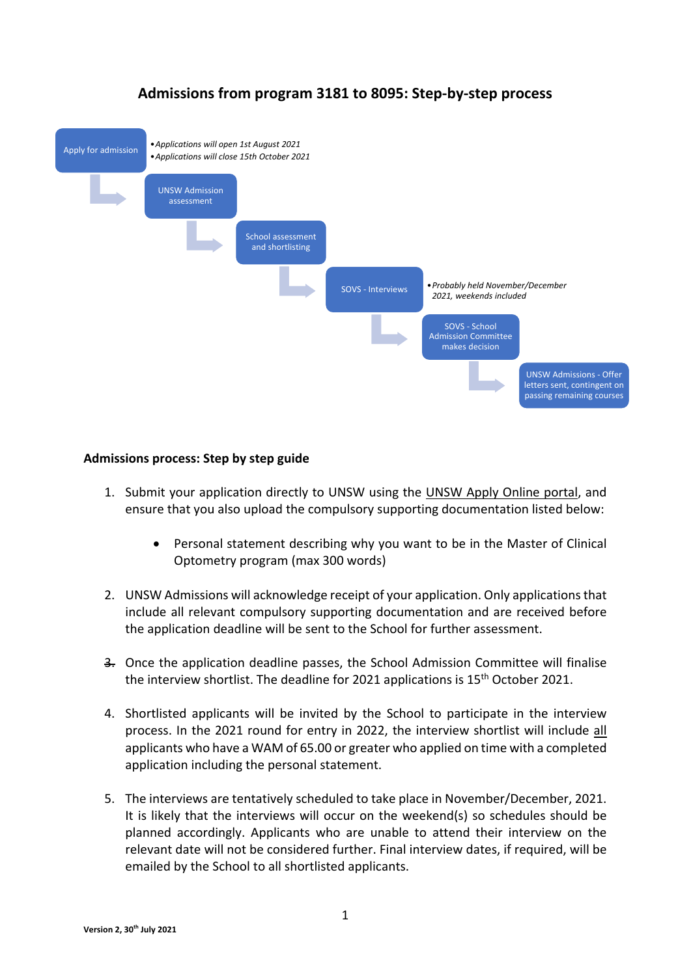

## **Admissions from program 3181 to 8095: Step-by-step process**

## **Admissions process: Step by step guide**

- 1. Submit your application directly to UNSW using the UNSW [Apply Online portal,](https://applyonline.unsw.edu.au/login) and ensure that you also upload the compulsory supporting documentation listed below:
	- Personal statement describing why you want to be in the Master of Clinical Optometry program (max 300 words)
- 2. UNSW Admissions will acknowledge receipt of your application. Only applications that include all relevant compulsory supporting documentation and are received before the application deadline will be sent to the School for further assessment.
- 3. Once the application deadline passes, the School Admission Committee will finalise the interview shortlist. The deadline for 2021 applications is 15<sup>th</sup> October 2021.
- 4. Shortlisted applicants will be invited by the School to participate in the interview process. In the 2021 round for entry in 2022, the interview shortlist will include all applicants who have a WAM of 65.00 or greater who applied on time with a completed application including the personal statement.
- 5. The interviews are tentatively scheduled to take place in November/December, 2021. It is likely that the interviews will occur on the weekend(s) so schedules should be planned accordingly. Applicants who are unable to attend their interview on the relevant date will not be considered further. Final interview dates, if required, will be emailed by the School to all shortlisted applicants.